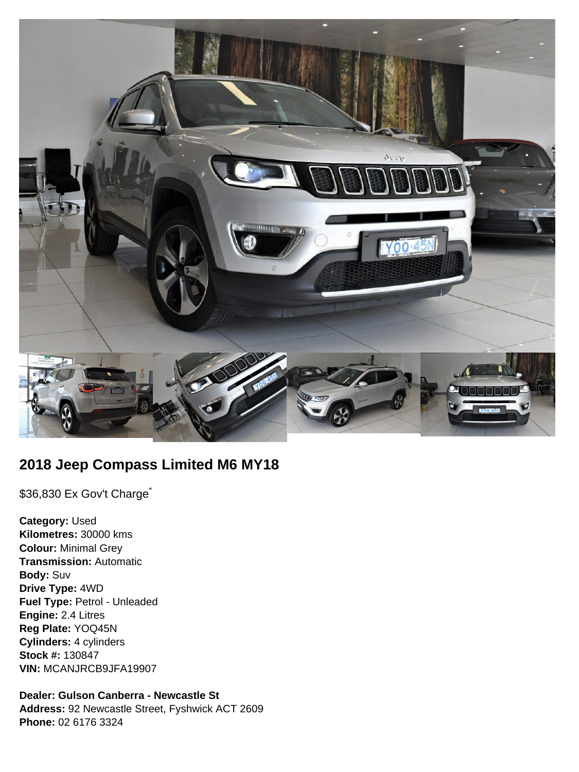

# **2018 Jeep Compass Limited M6 MY18**

\$36,830 Ex Gov't Charge<sup>\*</sup>

**Category:** Used **Kilometres:** 30000 kms **Colour:** Minimal Grey **Transmission:** Automatic **Body:** Suv **Drive Type:** 4WD **Fuel Type:** Petrol - Unleaded **Engine:** 2.4 Litres **Reg Plate:** YOQ45N **Cylinders:** 4 cylinders **Stock #:** 130847 **VIN:** MCANJRCB9JFA19907

**Dealer: Gulson Canberra - Newcastle St Address:** 92 Newcastle Street, Fyshwick ACT 2609 **Phone:** 02 6176 3324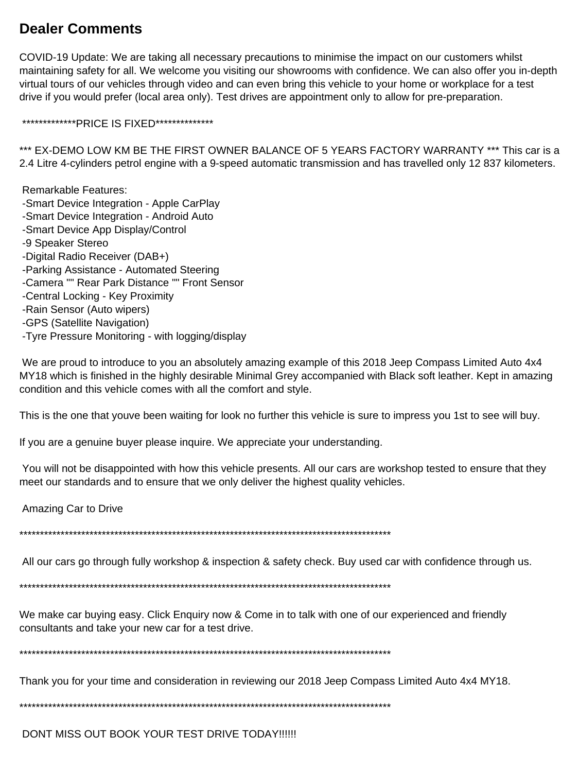## **Dealer Comments**

COVID-19 Update: We are taking all necessary precautions to minimise the impact on our customers whilst maintaining safety for all. We welcome you visiting our showrooms with confidence. We can also offer you in-depth virtual tours of our vehicles through video and can even bring this vehicle to your home or workplace for a test drive if you would prefer (local area only). Test drives are appointment only to allow for pre-preparation.

\*\*\*\*\*\*\*\*\*\*\*\*\*PRICE IS FIXED\*\*\*\*\*\*\*\*\*\*\*\*\*\*

\*\*\* EX-DEMO LOW KM BE THE FIRST OWNER BALANCE OF 5 YEARS FACTORY WARRANTY \*\*\* This car is a 2.4 Litre 4-cylinders petrol engine with a 9-speed automatic transmission and has travelled only 12 837 kilometers.

 Remarkable Features: -Smart Device Integration - Apple CarPlay -Smart Device Integration - Android Auto -Smart Device App Display/Control -9 Speaker Stereo -Digital Radio Receiver (DAB+) -Parking Assistance - Automated Steering -Camera "" Rear Park Distance "" Front Sensor -Central Locking - Key Proximity -Rain Sensor (Auto wipers) -GPS (Satellite Navigation) -Tyre Pressure Monitoring - with logging/display

We are proud to introduce to you an absolutely amazing example of this 2018 Jeep Compass Limited Auto 4x4 MY18 which is finished in the highly desirable Minimal Grey accompanied with Black soft leather. Kept in amazing condition and this vehicle comes with all the comfort and style.

This is the one that youve been waiting for look no further this vehicle is sure to impress you 1st to see will buy.

If you are a genuine buyer please inquire. We appreciate your understanding.

 You will not be disappointed with how this vehicle presents. All our cars are workshop tested to ensure that they meet our standards and to ensure that we only deliver the highest quality vehicles.

Amazing Car to Drive

\*\*\*\*\*\*\*\*\*\*\*\*\*\*\*\*\*\*\*\*\*\*\*\*\*\*\*\*\*\*\*\*\*\*\*\*\*\*\*\*\*\*\*\*\*\*\*\*\*\*\*\*\*\*\*\*\*\*\*\*\*\*\*\*\*\*\*\*\*\*\*\*\*\*\*\*\*\*\*\*\*\*\*\*\*\*\*\*\*\*

All our cars go through fully workshop & inspection & safety check. Buy used car with confidence through us.

\*\*\*\*\*\*\*\*\*\*\*\*\*\*\*\*\*\*\*\*\*\*\*\*\*\*\*\*\*\*\*\*\*\*\*\*\*\*\*\*\*\*\*\*\*\*\*\*\*\*\*\*\*\*\*\*\*\*\*\*\*\*\*\*\*\*\*\*\*\*\*\*\*\*\*\*\*\*\*\*\*\*\*\*\*\*\*\*\*\*

We make car buying easy. Click Enquiry now & Come in to talk with one of our experienced and friendly consultants and take your new car for a test drive.

\*\*\*\*\*\*\*\*\*\*\*\*\*\*\*\*\*\*\*\*\*\*\*\*\*\*\*\*\*\*\*\*\*\*\*\*\*\*\*\*\*\*\*\*\*\*\*\*\*\*\*\*\*\*\*\*\*\*\*\*\*\*\*\*\*\*\*\*\*\*\*\*\*\*\*\*\*\*\*\*\*\*\*\*\*\*\*\*\*\*

Thank you for your time and consideration in reviewing our 2018 Jeep Compass Limited Auto 4x4 MY18.

\*\*\*\*\*\*\*\*\*\*\*\*\*\*\*\*\*\*\*\*\*\*\*\*\*\*\*\*\*\*\*\*\*\*\*\*\*\*\*\*\*\*\*\*\*\*\*\*\*\*\*\*\*\*\*\*\*\*\*\*\*\*\*\*\*\*\*\*\*\*\*\*\*\*\*\*\*\*\*\*\*\*\*\*\*\*\*\*\*\*

DONT MISS OUT BOOK YOUR TEST DRIVE TODAY!!!!!!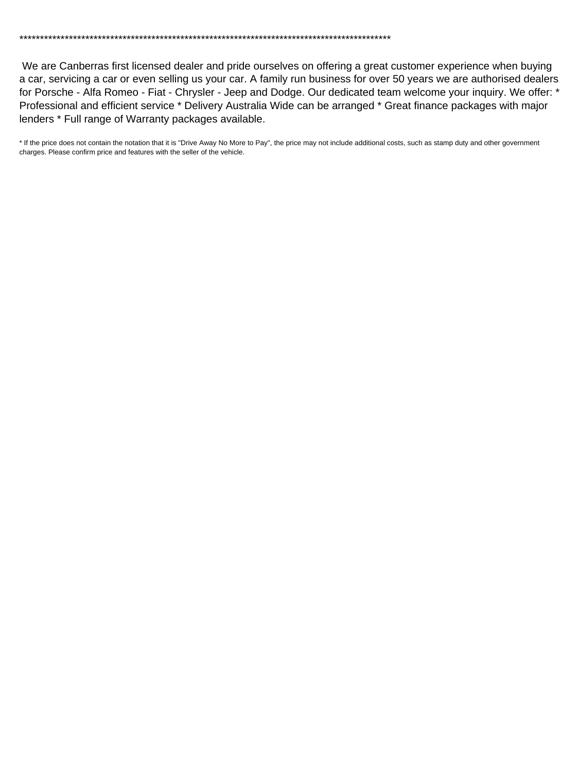\*\*\*\*\*\*\*\*\*\*\*\*\*\*\*\*\*\*\*\*\*\*\*\*\*\*\*\*\*\*\*\*\*\*\*\*\*\*\*\*\*\*\*\*\*\*\*\*\*\*\*\*\*\*\*\*\*\*\*\*\*\*\*\*\*\*\*\*\*\*\*\*\*\*\*\*\*\*\*\*\*\*\*\*\*\*\*\*\*\*

 We are Canberras first licensed dealer and pride ourselves on offering a great customer experience when buying a car, servicing a car or even selling us your car. A family run business for over 50 years we are authorised dealers for Porsche - Alfa Romeo - Fiat - Chrysler - Jeep and Dodge. Our dedicated team welcome your inquiry. We offer: \* Professional and efficient service \* Delivery Australia Wide can be arranged \* Great finance packages with major lenders \* Full range of Warranty packages available.

\* If the price does not contain the notation that it is "Drive Away No More to Pay", the price may not include additional costs, such as stamp duty and other government charges. Please confirm price and features with the seller of the vehicle.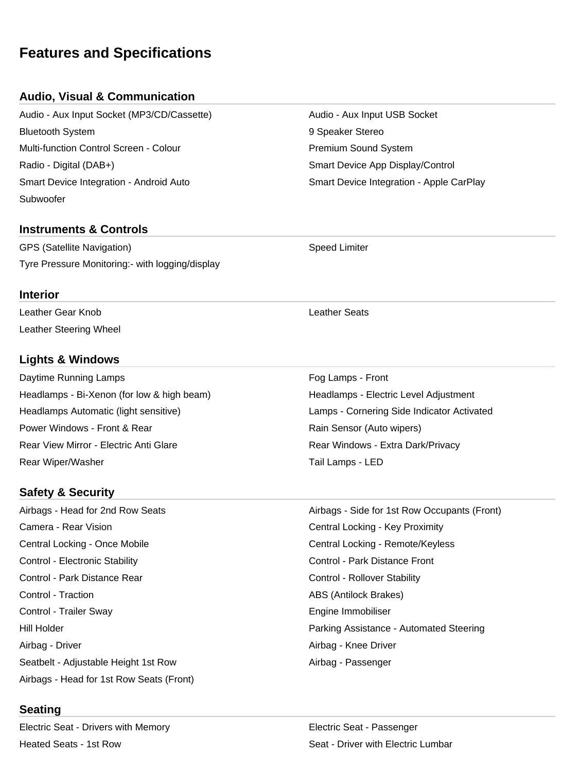## **Features and Specifications**

## **Audio, Visual & Communication**

Audio - Aux Input Socket (MP3/CD/Cassette) Audio - Aux Input USB Socket Bluetooth System 9 Speaker Stereo Multi-function Control Screen - Colour **Premium Sound System** Premium Sound System Radio - Digital (DAB+) <br>
Smart Device App Display/Control Smart Device Integration - Android Auto Smart Device Integration - Apple CarPlay Subwoofer

### **Instruments & Controls**

GPS (Satellite Navigation) Speed Limiter Tyre Pressure Monitoring:- with logging/display

#### **Interior**

Leather Gear Knob Leather Seats Leather Steering Wheel

### **Lights & Windows**

Daytime Running Lamps Form Form of the Control of the Control of the Control of Trumps - Front Headlamps - Bi-Xenon (for low & high beam) Headlamps - Electric Level Adjustment Headlamps Automatic (light sensitive) Lamps - Cornering Side Indicator Activated Power Windows - Front & Rear **Rain Sensor (Auto wipers)** Rear View Mirror - Electric Anti Glare **Rear Windows - Extra Dark/Privacy** Rear Wiper/Washer Tail Lamps - LED

## **Safety & Security**

Airbags - Head for 2nd Row Seats Airbags - Side for 1st Row Occupants (Front) Camera - Rear Vision Central Locking - Key Proximity Central Locking - Once Mobile Central Locking - Remote/Keyless Control - Electronic Stability Control - Park Distance Front Control - Park Distance Rear Control - Rollover Stability Control - Traction ABS (Antilock Brakes) Control - Trailer Sway Engine Immobiliser Airbag - Driver Airbag - Knee Driver Seatbelt - Adjustable Height 1st Row **Airbag - Passenger** Airbag - Passenger Airbags - Head for 1st Row Seats (Front)

## **Seating**

Electric Seat - Drivers with Memory Electric Seat - Passenger Heated Seats - 1st Row Seat - Driver with Electric Lumbar

Hill Holder **Parking Assistance - Automated Steering**